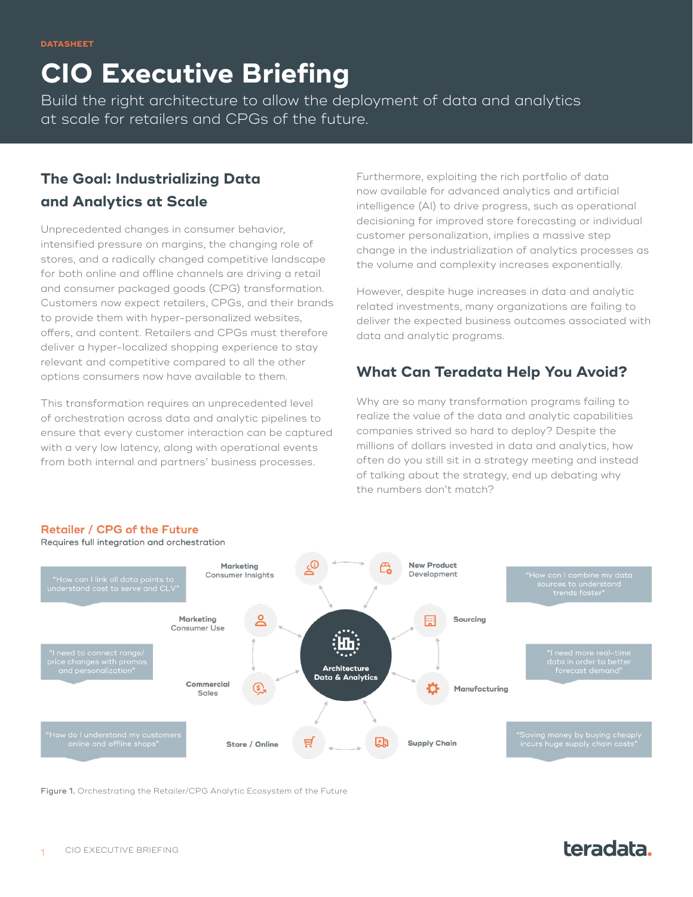# **CIO Executive Briefing**

Build the right architecture to allow the deployment of data and analytics at scale for retailers and CPGs of the future.

### **The Goal: Industrializing Data and Analytics at Scale**

Unprecedented changes in consumer behavior, intensified pressure on margins, the changing role of stores, and a radically changed competitive landscape for both online and offline channels are driving a retail and consumer packaged goods (CPG) transformation. Customers now expect retailers, CPGs, and their brands to provide them with hyper-personalized websites, offers, and content. Retailers and CPGs must therefore deliver a hyper-localized shopping experience to stay relevant and competitive compared to all the other options consumers now have available to them.

This transformation requires an unprecedented level of orchestration across data and analytic pipelines to ensure that every customer interaction can be captured with a very low latency, along with operational events from both internal and partners' business processes.

Furthermore, exploiting the rich portfolio of data now available for advanced analytics and artificial intelligence (AI) to drive progress, such as operational decisioning for improved store forecasting or individual customer personalization, implies a massive step change in the industrialization of analytics processes as the volume and complexity increases exponentially.

However, despite huge increases in data and analytic related investments, many organizations are failing to deliver the expected business outcomes associated with data and analytic programs.

#### **What Can Teradata Help You Avoid?**

Why are so many transformation programs failing to realize the value of the data and analytic capabilities companies strived so hard to deploy? Despite the millions of dollars invested in data and analytics, how often do you still sit in a strategy meeting and instead of talking about the strategy, end up debating why the numbers don't match?



#### Retailer / CPG of the Future

Requires full integration and orchestration

Figure 1. Orchestrating the Retailer/CPG Analytic Ecosystem of the Future

# teradata.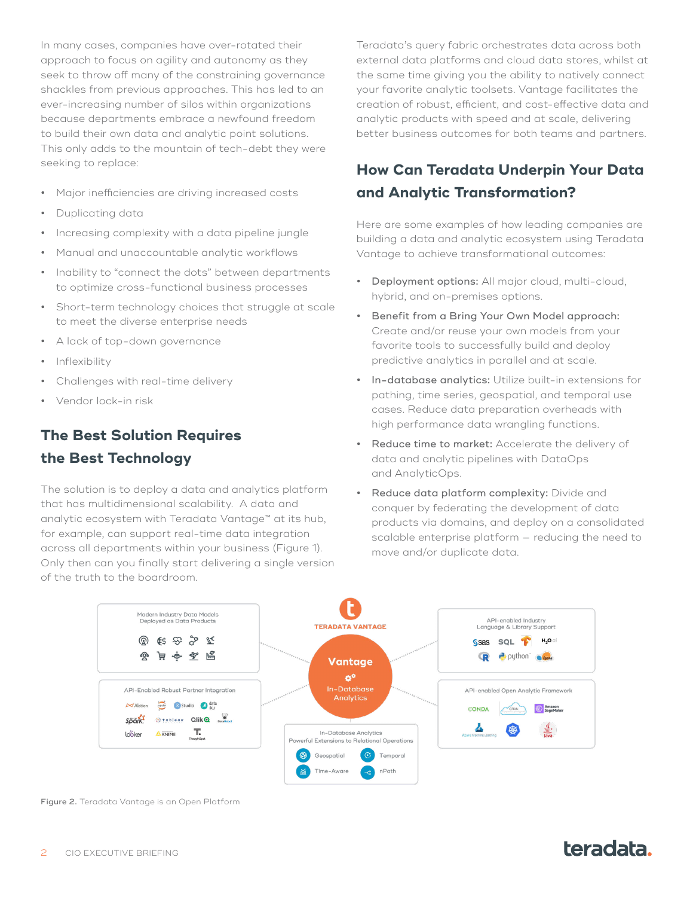In many cases, companies have over-rotated their approach to focus on agility and autonomy as they seek to throw off many of the constraining governance shackles from previous approaches. This has led to an ever-increasing number of silos within organizations because departments embrace a newfound freedom to build their own data and analytic point solutions. This only adds to the mountain of tech-debt they were seeking to replace:

- **•** Major inefficiencies are driving increased costs
- **•** Duplicating data
- **•** Increasing complexity with a data pipeline jungle
- **•** Manual and unaccountable analytic workflows
- **•** Inability to "connect the dots" between departments to optimize cross-functional business processes
- **•** Short-term technology choices that struggle at scale to meet the diverse enterprise needs
- **•** A lack of top-down governance
- **•** Inflexibility
- **•** Challenges with real-time delivery
- **•** Vendor lock-in risk

#### **The Best Solution Requires the Best Technology**

The solution is to deploy a data and analytics platform that has multidimensional scalability. A data and analytic ecosystem with Teradata Vantage™ at its hub, for example, can support real-time data integration across all departments within your business (Figure 1). Only then can you finally start delivering a single version of the truth to the boardroom.

Teradata's query fabric orchestrates data across both external data platforms and cloud data stores, whilst at the same time giving you the ability to natively connect your favorite analytic toolsets. Vantage facilitates the creation of robust, efficient, and cost-effective data and analytic products with speed and at scale, delivering better business outcomes for both teams and partners.

### **How Can Teradata Underpin Your Data and Analytic Transformation?**

Here are some examples of how leading companies are building a data and analytic ecosystem using Teradata Vantage to achieve transformational outcomes:

- **•** Deployment options: All major cloud, multi-cloud, hybrid, and on-premises options.
- **•** Benefit from a Bring Your Own Model approach: Create and/or reuse your own models from your favorite tools to successfully build and deploy predictive analytics in parallel and at scale.
- **•** In-database analytics: Utilize built-in extensions for pathing, time series, geospatial, and temporal use cases. Reduce data preparation overheads with high performance data wrangling functions.
- **•** Reduce time to market: Accelerate the delivery of data and analytic pipelines with DataOps and AnalyticOps.
- **•** Reduce data platform complexity: Divide and conquer by federating the development of data products via domains, and deploy on a consolidated scalable enterprise platform — reducing the need to move and/or duplicate data.



Figure 2. Teradata Vantage is an Open Platform

## teradata.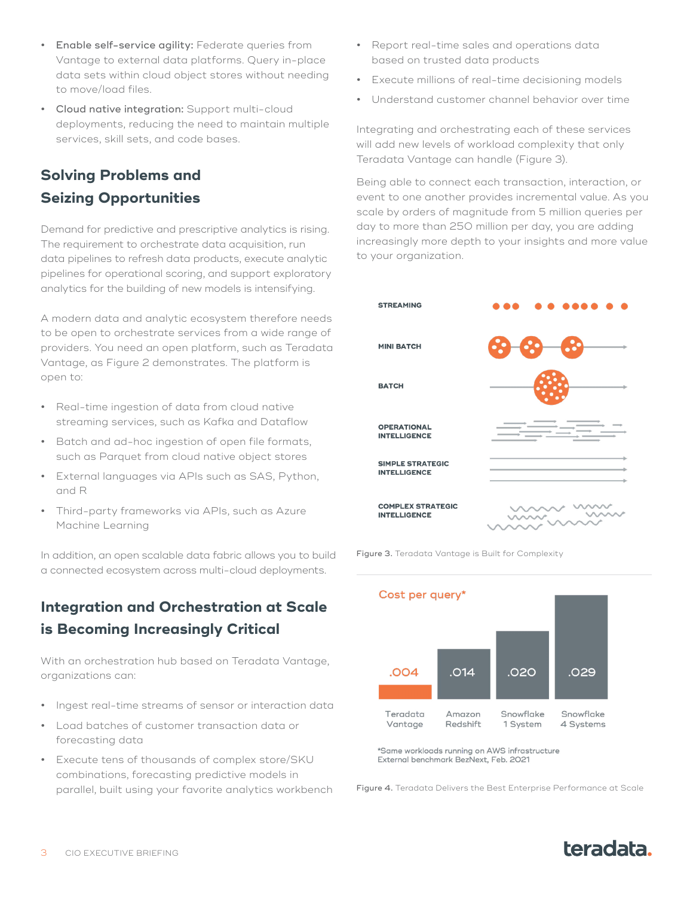- **•** Enable self-service agility: Federate queries from Vantage to external data platforms. Query in-place data sets within cloud object stores without needing to move/load files.
- **Cloud native integration:** Support multi-cloud deployments, reducing the need to maintain multiple services, skill sets, and code bases.

### **Solving Problems and Seizing Opportunities**

Demand for predictive and prescriptive analytics is rising. The requirement to orchestrate data acquisition, run data pipelines to refresh data products, execute analytic pipelines for operational scoring, and support exploratory analytics for the building of new models is intensifying.

A modern data and analytic ecosystem therefore needs to be open to orchestrate services from a wide range of providers. You need an open platform, such as Teradata Vantage, as Figure 2 demonstrates. The platform is open to:

- **•** Real-time ingestion of data from cloud native streaming services, such as Kafka and Dataflow
- **•** Batch and ad-hoc ingestion of open file formats, such as Parquet from cloud native object stores
- **•** External languages via APIs such as SAS, Python, and R
- **•** Third-party frameworks via APIs, such as Azure Machine Learning

In addition, an open scalable data fabric allows you to build a connected ecosystem across multi-cloud deployments.

## **Integration and Orchestration at Scale is Becoming Increasingly Critical**

With an orchestration hub based on Teradata Vantage, organizations can:

- **•** Ingest real-time streams of sensor or interaction data
- **•** Load batches of customer transaction data or forecasting data
- **•** Execute tens of thousands of complex store/SKU combinations, forecasting predictive models in parallel, built using your favorite analytics workbench
- **•** Report real-time sales and operations data based on trusted data products
- **•** Execute millions of real-time decisioning models
- **•** Understand customer channel behavior over time

Integrating and orchestrating each of these services will add new levels of workload complexity that only Teradata Vantage can handle (Figure 3).

Being able to connect each transaction, interaction, or event to one another provides incremental value. As you scale by orders of magnitude from 5 million queries per day to more than 250 million per day, you are adding increasingly more depth to your insights and more value to your organization.





\*Same workloads running on AWS infrastructure External benchmark BezNext, Feb. 2021

Figure 4. Teradata Delivers the Best Enterprise Performance at Scale